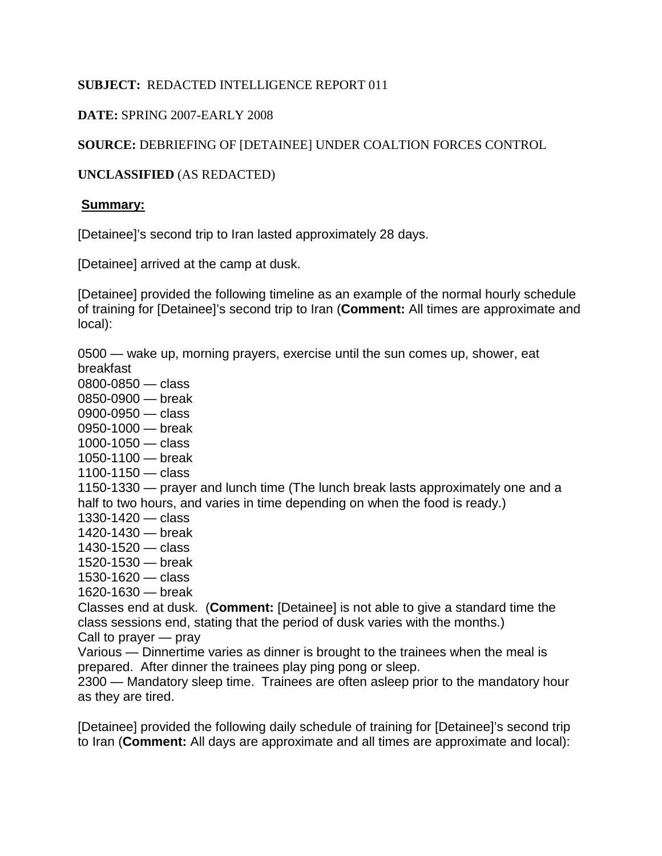### **SUBJECT:** REDACTED INTELLIGENCE REPORT 011

## **DATE:** SPRING 2007-EARLY 2008

# **SOURCE:** DEBRIEFING OF [DETAINEE] UNDER COALTION FORCES CONTROL

## **UNCLASSIFIED** (AS REDACTED)

#### **Summary:**

[Detainee]'s second trip to Iran lasted approximately 28 days.

[Detainee] arrived at the camp at dusk.

[Detainee] provided the following timeline as an example of the normal hourly schedule of training for [Detainee]'s second trip to Iran (**Comment:** All times are approximate and local):

0500 — wake up, morning prayers, exercise until the sun comes up, shower, eat breakfast

- 0800-0850 class
- 0850-0900 break
- 0900-0950 class
- 0950-1000 break
- 1000-1050 class
- 1050-1100 break
- 1100-1150 class

1150-1330 — prayer and lunch time (The lunch break lasts approximately one and a half to two hours, and varies in time depending on when the food is ready.)

- 1330-1420 class
- 1420-1430 break
- 1430-1520 class
- 1520-1530 break
- 1530-1620 class
- 1620-1630 break

Classes end at dusk. (**Comment:** [Detainee] is not able to give a standard time the class sessions end, stating that the period of dusk varies with the months.) Call to prayer — pray

Various — Dinnertime varies as dinner is brought to the trainees when the meal is

prepared. After dinner the trainees play ping pong or sleep.

2300 — Mandatory sleep time. Trainees are often asleep prior to the mandatory hour as they are tired.

[Detainee] provided the following daily schedule of training for [Detainee]'s second trip to Iran (**Comment:** All days are approximate and all times are approximate and local):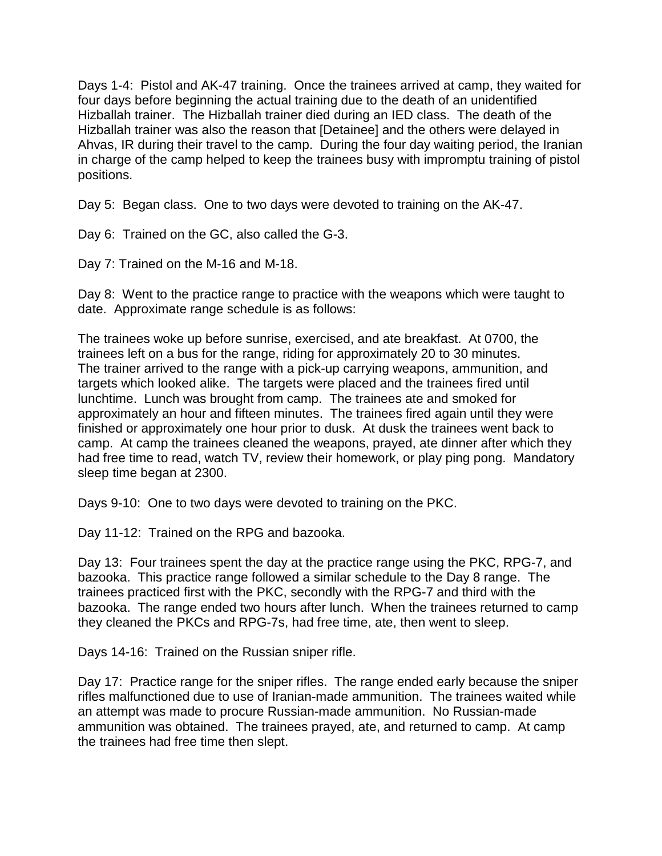Days 1-4: Pistol and AK-47 training. Once the trainees arrived at camp, they waited for four days before beginning the actual training due to the death of an unidentified Hizballah trainer. The Hizballah trainer died during an IED class. The death of the Hizballah trainer was also the reason that [Detainee] and the others were delayed in Ahvas, IR during their travel to the camp. During the four day waiting period, the Iranian in charge of the camp helped to keep the trainees busy with impromptu training of pistol positions.

Day 5: Began class. One to two days were devoted to training on the AK-47.

Day 6: Trained on the GC, also called the G-3.

Day 7: Trained on the M-16 and M-18.

Day 8: Went to the practice range to practice with the weapons which were taught to date. Approximate range schedule is as follows:

The trainees woke up before sunrise, exercised, and ate breakfast. At 0700, the trainees left on a bus for the range, riding for approximately 20 to 30 minutes. The trainer arrived to the range with a pick-up carrying weapons, ammunition, and targets which looked alike. The targets were placed and the trainees fired until lunchtime. Lunch was brought from camp. The trainees ate and smoked for approximately an hour and fifteen minutes. The trainees fired again until they were finished or approximately one hour prior to dusk. At dusk the trainees went back to camp. At camp the trainees cleaned the weapons, prayed, ate dinner after which they had free time to read, watch TV, review their homework, or play ping pong. Mandatory sleep time began at 2300.

Days 9-10: One to two days were devoted to training on the PKC.

Day 11-12: Trained on the RPG and bazooka.

Day 13: Four trainees spent the day at the practice range using the PKC, RPG-7, and bazooka. This practice range followed a similar schedule to the Day 8 range. The trainees practiced first with the PKC, secondly with the RPG-7 and third with the bazooka. The range ended two hours after lunch. When the trainees returned to camp they cleaned the PKCs and RPG-7s, had free time, ate, then went to sleep.

Days 14-16: Trained on the Russian sniper rifle.

Day 17: Practice range for the sniper rifles. The range ended early because the sniper rifles malfunctioned due to use of Iranian-made ammunition. The trainees waited while an attempt was made to procure Russian-made ammunition. No Russian-made ammunition was obtained. The trainees prayed, ate, and returned to camp. At camp the trainees had free time then slept.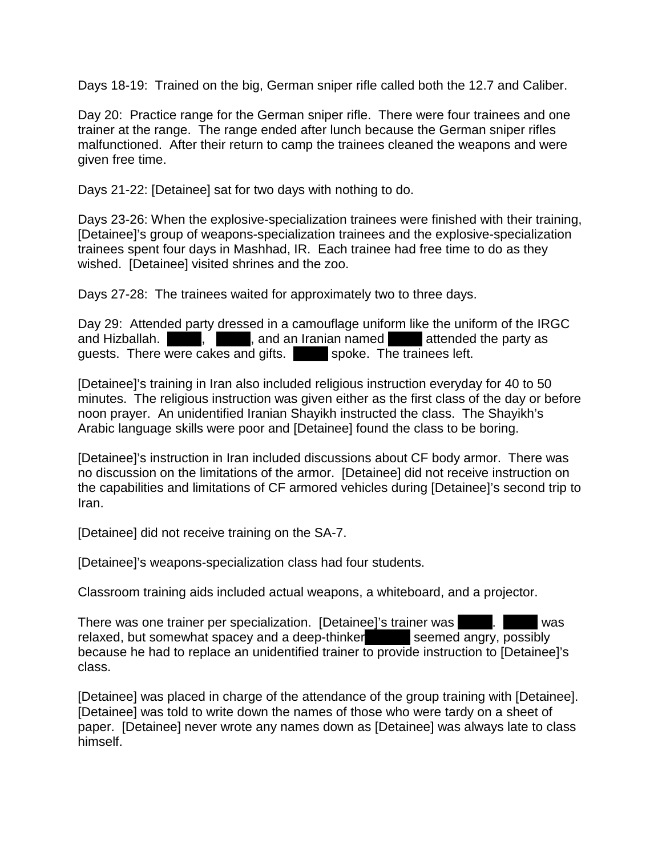Days 18-19: Trained on the big, German sniper rifle called both the 12.7 and Caliber.

Day 20: Practice range for the German sniper rifle. There were four trainees and one trainer at the range. The range ended after lunch because the German sniper rifles malfunctioned. After their return to camp the trainees cleaned the weapons and were given free time.

Days 21-22: [Detainee] sat for two days with nothing to do.

Days 23-26: When the explosive-specialization trainees were finished with their training, [Detainee]'s group of weapons-specialization trainees and the explosive-specialization trainees spent four days in Mashhad, IR. Each trainee had free time to do as they wished. [Detainee] visited shrines and the zoo.

Days 27-28: The trainees waited for approximately two to three days.

Day 29: Attended party dressed in a camouflage uniform like the uniform of the IRGC and Hizballah.  $\blacksquare$ ,  $\blacksquare$ , and an Iranian named  $\blacksquare$  attended the party as guests. There were cakes and gifts. Spoke. The trainees left.

[Detainee]'s training in Iran also included religious instruction everyday for 40 to 50 minutes. The religious instruction was given either as the first class of the day or before noon prayer. An unidentified Iranian Shayikh instructed the class. The Shayikh's Arabic language skills were poor and [Detainee] found the class to be boring.

[Detainee]'s instruction in Iran included discussions about CF body armor. There was no discussion on the limitations of the armor. [Detainee] did not receive instruction on the capabilities and limitations of CF armored vehicles during [Detainee]'s second trip to Iran.

[Detainee] did not receive training on the SA-7.

[Detainee]'s weapons-specialization class had four students.

Classroom training aids included actual weapons, a whiteboard, and a projector.

There was one trainer per specialization. [Detainee]'s trainer was XXX. XXX was relaxed, but somewhat spacey and a deep-thinker. Seemed angry, possibly because he had to replace an unidentified trainer to provide instruction to [Detainee]'s class.

[Detainee] was placed in charge of the attendance of the group training with [Detainee]. [Detainee] was told to write down the names of those who were tardy on a sheet of paper. [Detainee] never wrote any names down as [Detainee] was always late to class himself.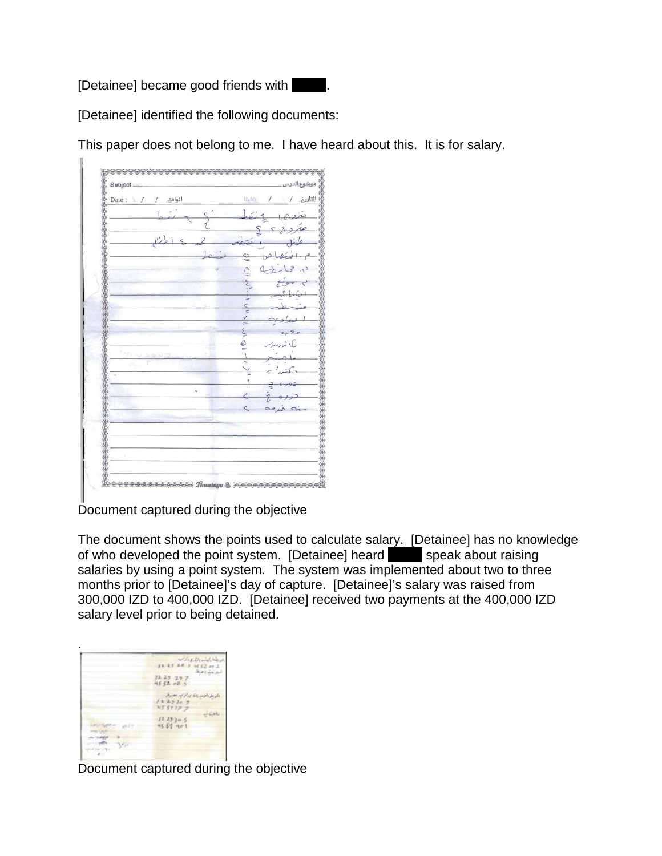[Detainee] became good friends with



[Detainee] identified the following documents:

This paper does not belong to me. I have heard about this. It is for salary.

| Subject.                            | موضوع الدرس                   |
|-------------------------------------|-------------------------------|
| Date:<br>المواهق<br>$\sqrt{1}$<br>7 | التاريخ / \ / علينا           |
|                                     | è<br>i.                       |
|                                     | $\lambda$ e<br>$\overline{ }$ |
| $\mathbb{R}^2$                      | b                             |
|                                     | e                             |
|                                     | $\mathbf{S}$                  |
|                                     |                               |
|                                     | è                             |
|                                     | Ċ<br><b>F</b>                 |
|                                     | v<br>Ż                        |
|                                     | ý.                            |
|                                     | $\frac{1}{2}$                 |
| $121 \times 22 \times$              | $\frac{1}{2}$                 |
|                                     |                               |
|                                     | ı                             |
|                                     |                               |
|                                     | ¢                             |
|                                     |                               |
|                                     |                               |
|                                     |                               |
|                                     |                               |

Document captured during the objective

The document shows the points used to calculate salary. [Detainee] has no knowledge of who developed the point system. [Detainee] heard **XXX** speak about raising salaries by using a point system. The system was implemented about two to three months prior to [Detainee]'s day of capture. [Detainee]'s salary was raised from 300,000 IZD to 400,000 IZD. [Detainee] received two payments at the 400,000 IZD salary level prior to being detained.

| 1223209<br>NS STIP Z<br>12.19305 | Fre Diede<br>22.23 |
|----------------------------------|--------------------|
|                                  |                    |
|                                  | 45 52 401          |

Document captured during the objective